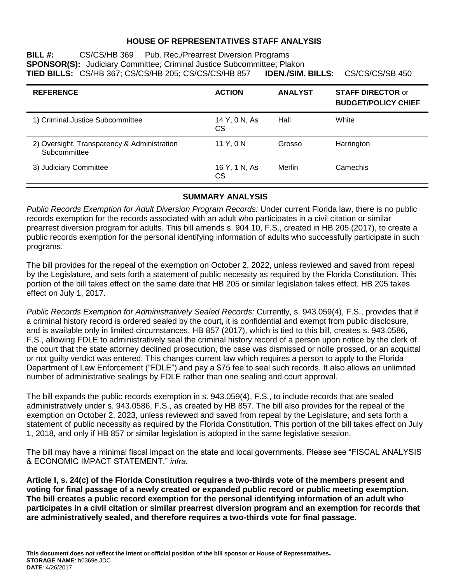### **HOUSE OF REPRESENTATIVES STAFF ANALYSIS**

**BILL #:** CS/CS/HB 369 Pub. Rec./Prearrest Diversion Programs **SPONSOR(S):** Judiciary Committee; Criminal Justice Subcommittee; Plakon<br>**TIED BILLS:** CS/HB 367: CS/CS/HB 205: CS/CS/CS/HB 857 **IDEN./SIM. BILLS:** CS/CS/CS/SB 450 **TIED BILLS:** CS/HB 367; CS/CS/HB 205; CS/CS/CS/HB 857

| <b>REFERENCE</b>                                            | <b>ACTION</b>       | <b>ANALYST</b> | <b>STAFF DIRECTOR or</b><br><b>BUDGET/POLICY CHIEF</b> |
|-------------------------------------------------------------|---------------------|----------------|--------------------------------------------------------|
| 1) Criminal Justice Subcommittee                            | 14 Y, 0 N, As<br>CS | Hall           | White                                                  |
| 2) Oversight, Transparency & Administration<br>Subcommittee | 11 Y, 0 N           | Grosso         | Harrington                                             |
| 3) Judiciary Committee                                      | 16 Y, 1 N, As<br>СS | Merlin         | Camechis                                               |

### **SUMMARY ANALYSIS**

*Public Records Exemption for Adult Diversion Program Records:* Under current Florida law, there is no public records exemption for the records associated with an adult who participates in a civil citation or similar prearrest diversion program for adults. This bill amends s. 904.10, F.S., created in HB 205 (2017), to create a public records exemption for the personal identifying information of adults who successfully participate in such programs.

The bill provides for the repeal of the exemption on October 2, 2022, unless reviewed and saved from repeal by the Legislature, and sets forth a statement of public necessity as required by the Florida Constitution. This portion of the bill takes effect on the same date that HB 205 or similar legislation takes effect. HB 205 takes effect on July 1, 2017.

*Public Records Exemption for Administratively Sealed Records:* Currently, s. 943.059(4), F.S., provides that if a criminal history record is ordered sealed by the court, it is confidential and exempt from public disclosure, and is available only in limited circumstances. HB 857 (2017), which is tied to this bill, creates s. 943.0586, F.S., allowing FDLE to administratively seal the criminal history record of a person upon notice by the clerk of the court that the state attorney declined prosecution, the case was dismissed or nolle prossed, or an acquittal or not guilty verdict was entered. This changes current law which requires a person to apply to the Florida Department of Law Enforcement ("FDLE") and pay a \$75 fee to seal such records. It also allows an unlimited number of administrative sealings by FDLE rather than one sealing and court approval.

The bill expands the public records exemption in s. 943.059(4), F.S., to include records that are sealed administratively under s. 943.0586, F.S., as created by HB 857. The bill also provides for the repeal of the exemption on October 2, 2023, unless reviewed and saved from repeal by the Legislature, and sets forth a statement of public necessity as required by the Florida Constitution. This portion of the bill takes effect on July 1, 2018, and only if HB 857 or similar legislation is adopted in the same legislative session.

The bill may have a minimal fiscal impact on the state and local governments. Please see "FISCAL ANALYSIS & ECONOMIC IMPACT STATEMENT," *infra.*

**Article I, s. 24(c) of the Florida Constitution requires a two-thirds vote of the members present and voting for final passage of a newly created or expanded public record or public meeting exemption. The bill creates a public record exemption for the personal identifying information of an adult who participates in a civil citation or similar prearrest diversion program and an exemption for records that are administratively sealed, and therefore requires a two-thirds vote for final passage.**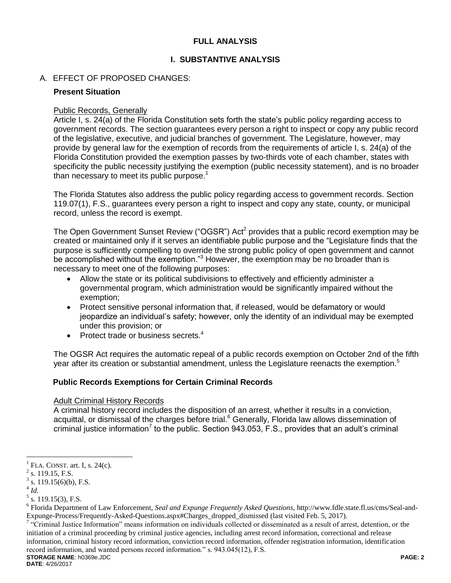### **FULL ANALYSIS**

## **I. SUBSTANTIVE ANALYSIS**

## A. EFFECT OF PROPOSED CHANGES:

### **Present Situation**

### Public Records, Generally

Article I, s. 24(a) of the Florida Constitution sets forth the state's public policy regarding access to government records. The section guarantees every person a right to inspect or copy any public record of the legislative, executive, and judicial branches of government. The Legislature, however, may provide by general law for the exemption of records from the requirements of article I, s. 24(a) of the Florida Constitution provided the exemption passes by two-thirds vote of each chamber, states with specificity the public necessity justifying the exemption (public necessity statement), and is no broader than necessary to meet its public purpose.<sup>1</sup>

The Florida Statutes also address the public policy regarding access to government records. Section 119.07(1), F.S., guarantees every person a right to inspect and copy any state, county, or municipal record, unless the record is exempt.

The Open Government Sunset Review ("OGSR") Act<sup>2</sup> provides that a public record exemption may be created or maintained only if it serves an identifiable public purpose and the "Legislature finds that the purpose is sufficiently compelling to override the strong public policy of open government and cannot be accomplished without the exemption."<sup>3</sup> However, the exemption may be no broader than is necessary to meet one of the following purposes:

- Allow the state or its political subdivisions to effectively and efficiently administer a governmental program, which administration would be significantly impaired without the exemption;
- Protect sensitive personal information that, if released, would be defamatory or would jeopardize an individual's safety; however, only the identity of an individual may be exempted under this provision; or
- Protect trade or business secrets.<sup>4</sup>

The OGSR Act requires the automatic repeal of a public records exemption on October 2nd of the fifth year after its creation or substantial amendment, unless the Legislature reenacts the exemption.<sup>5</sup>

### **Public Records Exemptions for Certain Criminal Records**

### Adult Criminal History Records

A criminal history record includes the disposition of an arrest, whether it results in a conviction, acquittal, or dismissal of the charges before trial.<sup>6</sup> Generally, Florida law allows dissemination of criminal justice information<sup>7</sup> to the public. Section 943.053, F.S., provides that an adult's criminal

 $\overline{a}$ 

**STORAGE NAME**: h0369e.JDC **PAGE: 2** <sup>7</sup> "Criminal Justice Information" means information on individuals collected or disseminated as a result of arrest, detention, or the initiation of a criminal proceeding by criminal justice agencies, including arrest record information, correctional and release information, criminal history record information, conviction record information, offender registration information, identification record information, and wanted persons record information." s. 943.045(12), F.S.

**DATE**: 4/26/2017

<sup>1</sup> FLA. CONST. art. I, s. 24(c).

 $2$  s. 119.15, F.S.

 $3$  s. 119.15(6)(b), F.S.

<sup>4</sup> *Id.*

 $<sup>5</sup>$  s. 119.15(3), F.S.</sup>

<sup>6</sup> Florida Department of Law Enforcement, *Seal and Expunge Frequently Asked Questions*, http://www.fdle.state.fl.us/cms/Seal-and-Expunge-Process/Frequently-Asked-Questions.aspx#Charges\_dropped\_dismissed (last visited Feb. 5, 2017).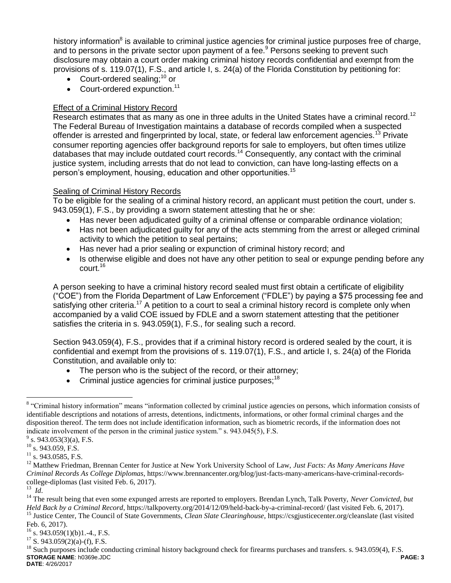history information<sup>8</sup> is available to criminal justice agencies for criminal justice purposes free of charge, and to persons in the private sector upon payment of a fee.<sup>9</sup> Persons seeking to prevent such disclosure may obtain a court order making criminal history records confidential and exempt from the provisions of s. 119.07(1), F.S., and article I, s. 24(a) of the Florida Constitution by petitioning for:

- Court-ordered sealing; $^{10}$  or
- $\bullet$  Court-ordered expunction.<sup>11</sup>

### Effect of a Criminal History Record

Research estimates that as many as one in three adults in the United States have a criminal record.<sup>12</sup> The Federal Bureau of Investigation maintains a database of records compiled when a suspected offender is arrested and fingerprinted by local, state, or federal law enforcement agencies.<sup>13</sup> Private consumer reporting agencies offer background reports for sale to employers, but often times utilize databases that may include outdated court records.<sup>14</sup> Consequently, any contact with the criminal justice system, including arrests that do not lead to conviction, can have long-lasting effects on a person's employment, housing, education and other opportunities.<sup>15</sup>

# Sealing of Criminal History Records

To be eligible for the sealing of a criminal history record, an applicant must petition the court, under s. 943.059(1), F.S., by providing a sworn statement attesting that he or she:

- Has never been adjudicated guilty of a criminal offense or comparable ordinance violation;
- Has not been adjudicated guilty for any of the acts stemming from the arrest or alleged criminal activity to which the petition to seal pertains;
- Has never had a prior sealing or expunction of criminal history record; and
- Is otherwise eligible and does not have any other petition to seal or expunge pending before any court.<sup>16</sup>

A person seeking to have a criminal history record sealed must first obtain a certificate of eligibility ("COE") from the Florida Department of Law Enforcement ("FDLE") by paying a \$75 processing fee and satisfying other criteria.<sup>17</sup> A petition to a court to seal a criminal history record is complete only when accompanied by a valid COE issued by FDLE and a sworn statement attesting that the petitioner satisfies the criteria in s. 943.059(1), F.S., for sealing such a record.

Section 943.059(4), F.S., provides that if a criminal history record is ordered sealed by the court, it is confidential and exempt from the provisions of s. 119.07(1), F.S., and article I, s. 24(a) of the Florida Constitution, and available only to:

- The person who is the subject of the record, or their attorney;
- Criminal justice agencies for criminal justice purposes;<sup>18</sup>

 $\overline{a}$ 

<sup>&</sup>lt;sup>8</sup> "Criminal history information" means "information collected by criminal justice agencies on persons, which information consists of identifiable descriptions and notations of arrests, detentions, indictments, informations, or other formal criminal charges and the disposition thereof. The term does not include identification information, such as biometric records, if the information does not indicate involvement of the person in the criminal justice system." s. 943.045(5), F.S.

 $9^9$  s. 943.053(3)(a), F.S.

 $10$  s. 943.059, F.S.

 $11$  s. 943.0585, F.S.

<sup>12</sup> Matthew Friedman, Brennan Center for Justice at New York University School of Law, *Just Facts: As Many Americans Have Criminal Records As College Diplomas*, https://www.brennancenter.org/blog/just-facts-many-americans-have-criminal-recordscollege-diplomas (last visited Feb. 6, 2017).

<sup>13</sup> *Id*.

<sup>&</sup>lt;sup>14</sup> The result being that even some expunged arrests are reported to employers. Brendan Lynch, Talk Poverty, *Never Convicted*, but *Held Back by a Criminal Record*, https://talkpoverty.org/2014/12/09/held-back-by-a-criminal-record/ (last visited Feb. 6, 2017). <sup>15</sup> Justice Center, The Council of State Governments, *Clean Slate Clearinghouse*, https://csgjusticecenter.org/cleanslate (last visited Feb. 6, 2017).

 $^{16}$  s. 943.059(1)(b)1.-4., F.S.

 $17$  S. 943.059(2)(a)-(f), F.S.

**STORAGE NAME**: h0369e.JDC **PAGE: 3 DATE**: 4/26/2017  $^{18}$  Such purposes include conducting criminal history background check for firearms purchases and transfers. s. 943.059(4), F.S.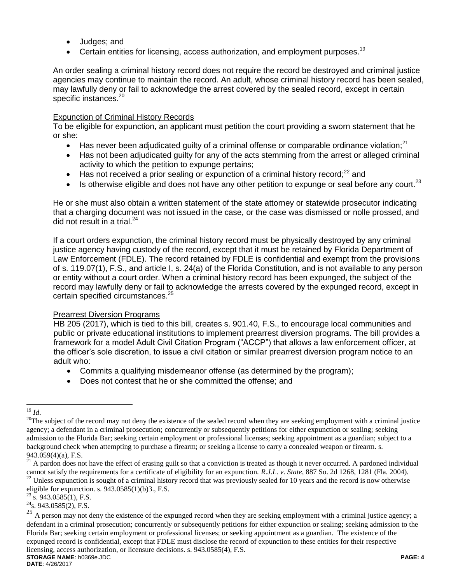- Judges; and
- **Certain entities for licensing, access authorization, and employment purposes.**<sup>19</sup>

An order sealing a criminal history record does not require the record be destroyed and criminal justice agencies may continue to maintain the record. An adult, whose criminal history record has been sealed, may lawfully deny or fail to acknowledge the arrest covered by the sealed record, except in certain specific instances.<sup>20</sup>

#### Expunction of Criminal History Records

To be eligible for expunction, an applicant must petition the court providing a sworn statement that he or she:

- Has never been adjudicated guilty of a criminal offense or comparable ordinance violation;<sup>21</sup>
- Has not been adjudicated guilty for any of the acts stemming from the arrest or alleged criminal activity to which the petition to expunge pertains;
- $\bullet$  Has not received a prior sealing or expunction of a criminal history record;<sup>22</sup> and
- $\bullet$  Is otherwise eligible and does not have any other petition to expunge or seal before any court.<sup>23</sup>

He or she must also obtain a written statement of the state attorney or statewide prosecutor indicating that a charging document was not issued in the case, or the case was dismissed or nolle prossed, and did not result in a trial.<sup>24</sup>

If a court orders expunction, the criminal history record must be physically destroyed by any criminal justice agency having custody of the record, except that it must be retained by Florida Department of Law Enforcement (FDLE). The record retained by FDLE is confidential and exempt from the provisions of s. 119.07(1), F.S., and article I, s. 24(a) of the Florida Constitution, and is not available to any person or entity without a court order. When a criminal history record has been expunged, the subject of the record may lawfully deny or fail to acknowledge the arrests covered by the expunged record, except in certain specified circumstances.<sup>25</sup>

#### Prearrest Diversion Programs

HB 205 (2017), which is tied to this bill, creates s. 901.40, F.S., to encourage local communities and public or private educational institutions to implement prearrest diversion programs. The bill provides a framework for a model Adult Civil Citation Program ("ACCP") that allows a law enforcement officer, at the officer's sole discretion, to issue a civil citation or similar prearrest diversion program notice to an adult who:

- Commits a qualifying misdemeanor offense (as determined by the program);
- Does not contest that he or she committed the offense; and

 $\overline{a}$ <sup>19</sup> *Id*.

 $20$ The subject of the record may not deny the existence of the sealed record when they are seeking employment with a criminal justice agency; a defendant in a criminal prosecution; concurrently or subsequently petitions for either expunction or sealing; seeking admission to the Florida Bar; seeking certain employment or professional licenses; seeking appointment as a guardian; subject to a background check when attempting to purchase a firearm; or seeking a license to carry a concealed weapon or firearm. s. 943.059(4)(a), F.S.

 $21$  A pardon does not have the effect of erasing guilt so that a conviction is treated as though it never occurred. A pardoned individual cannot satisfy the requirements for a certificate of eligibility for an expunction. *R.J.L. v. State*, 887 So. 2d 1268, 1281 (Fla. 2004).

<sup>22</sup> Unless expunction is sought of a criminal history record that was previously sealed for 10 years and the record is now otherwise eligible for expunction. s.  $943.0585(1)(b)3$ ., F.S.

 $23\,$  s. 943.0585(1), F.S.

 $^{24}$ s. 943.0585(2), F.S.

**STORAGE NAME**: h0369e.JDC **PAGE: 4** <sup>25</sup> A person may not deny the existence of the expunged record when they are seeking employment with a criminal justice agency; a defendant in a criminal prosecution; concurrently or subsequently petitions for either expunction or sealing; seeking admission to the Florida Bar; seeking certain employment or professional licenses; or seeking appointment as a guardian. The existence of the expunged record is confidential, except that FDLE must disclose the record of expunction to these entities for their respective licensing, access authorization, or licensure decisions. s. 943.0585(4), F.S.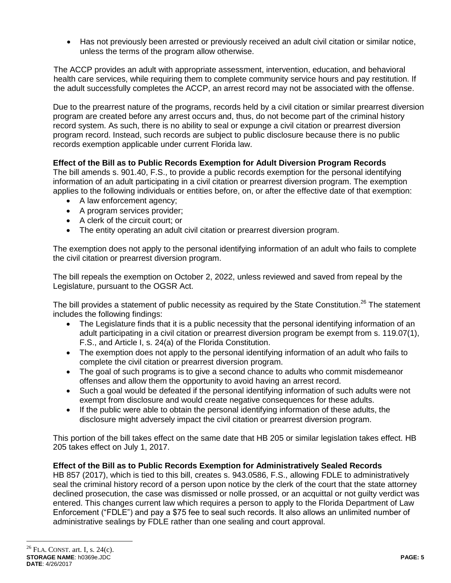Has not previously been arrested or previously received an adult civil citation or similar notice, unless the terms of the program allow otherwise.

The ACCP provides an adult with appropriate assessment, intervention, education, and behavioral health care services, while requiring them to complete community service hours and pay restitution. If the adult successfully completes the ACCP, an arrest record may not be associated with the offense.

Due to the prearrest nature of the programs, records held by a civil citation or similar prearrest diversion program are created before any arrest occurs and, thus, do not become part of the criminal history record system. As such, there is no ability to seal or expunge a civil citation or prearrest diversion program record. Instead, such records are subject to public disclosure because there is no public records exemption applicable under current Florida law.

## **Effect of the Bill as to Public Records Exemption for Adult Diversion Program Records**

The bill amends s. 901.40, F.S., to provide a public records exemption for the personal identifying information of an adult participating in a civil citation or prearrest diversion program. The exemption applies to the following individuals or entities before, on, or after the effective date of that exemption:

- A law enforcement agency;
- A program services provider;
- A clerk of the circuit court; or
- The entity operating an adult civil citation or prearrest diversion program.

The exemption does not apply to the personal identifying information of an adult who fails to complete the civil citation or prearrest diversion program.

The bill repeals the exemption on October 2, 2022, unless reviewed and saved from repeal by the Legislature, pursuant to the OGSR Act.

The bill provides a statement of public necessity as required by the State Constitution.<sup>26</sup> The statement includes the following findings:

- The Legislature finds that it is a public necessity that the personal identifying information of an adult participating in a civil citation or prearrest diversion program be exempt from s. 119.07(1), F.S., and Article I, s. 24(a) of the Florida Constitution.
- The exemption does not apply to the personal identifying information of an adult who fails to complete the civil citation or prearrest diversion program.
- The goal of such programs is to give a second chance to adults who commit misdemeanor offenses and allow them the opportunity to avoid having an arrest record.
- Such a goal would be defeated if the personal identifying information of such adults were not exempt from disclosure and would create negative consequences for these adults.
- If the public were able to obtain the personal identifying information of these adults, the disclosure might adversely impact the civil citation or prearrest diversion program.

This portion of the bill takes effect on the same date that HB 205 or similar legislation takes effect. HB 205 takes effect on July 1, 2017.

### **Effect of the Bill as to Public Records Exemption for Administratively Sealed Records**

HB 857 (2017), which is tied to this bill, creates s. 943.0586, F.S., allowing FDLE to administratively seal the criminal history record of a person upon notice by the clerk of the court that the state attorney declined prosecution, the case was dismissed or nolle prossed, or an acquittal or not guilty verdict was entered. This changes current law which requires a person to apply to the Florida Department of Law Enforcement ("FDLE") and pay a \$75 fee to seal such records. It also allows an unlimited number of administrative sealings by FDLE rather than one sealing and court approval.

 $\overline{a}$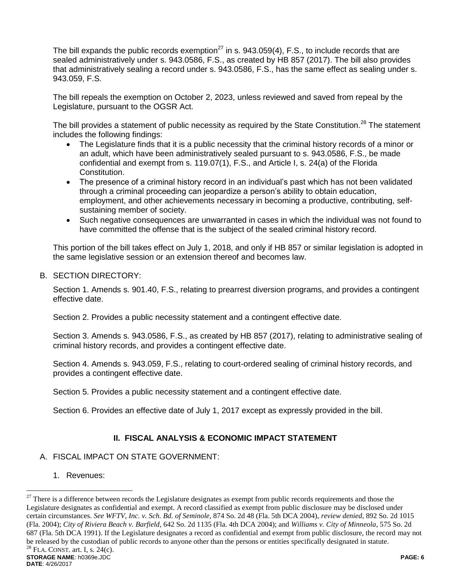The bill expands the public records exemption<sup>27</sup> in s. 943.059(4), F.S., to include records that are sealed administratively under s. 943.0586, F.S., as created by HB 857 (2017). The bill also provides that administratively sealing a record under s. 943.0586, F.S., has the same effect as sealing under s. 943.059, F.S.

The bill repeals the exemption on October 2, 2023, unless reviewed and saved from repeal by the Legislature, pursuant to the OGSR Act.

The bill provides a statement of public necessity as required by the State Constitution.<sup>28</sup> The statement includes the following findings:

- The Legislature finds that it is a public necessity that the criminal history records of a minor or an adult, which have been administratively sealed pursuant to s. 943.0586, F.S., be made confidential and exempt from s. 119.07(1), F.S., and Article I, s. 24(a) of the Florida Constitution.
- The presence of a criminal history record in an individual's past which has not been validated through a criminal proceeding can jeopardize a person's ability to obtain education, employment, and other achievements necessary in becoming a productive, contributing, selfsustaining member of society.
- Such negative consequences are unwarranted in cases in which the individual was not found to have committed the offense that is the subject of the sealed criminal history record.

This portion of the bill takes effect on July 1, 2018, and only if HB 857 or similar legislation is adopted in the same legislative session or an extension thereof and becomes law.

### B. SECTION DIRECTORY:

Section 1. Amends s. 901.40, F.S., relating to prearrest diversion programs, and provides a contingent effective date.

Section 2. Provides a public necessity statement and a contingent effective date.

Section 3. Amends s. 943.0586, F.S., as created by HB 857 (2017), relating to administrative sealing of criminal history records, and provides a contingent effective date.

Section 4. Amends s. 943.059, F.S., relating to court-ordered sealing of criminal history records, and provides a contingent effective date.

Section 5. Provides a public necessity statement and a contingent effective date.

Section 6. Provides an effective date of July 1, 2017 except as expressly provided in the bill.

# **II. FISCAL ANALYSIS & ECONOMIC IMPACT STATEMENT**

### A. FISCAL IMPACT ON STATE GOVERNMENT:

1. Revenues:

 $\overline{a}$ 

**STORAGE NAME**: h0369e.JDC **PAGE: 6**  $27$  There is a difference between records the Legislature designates as exempt from public records requirements and those the Legislature designates as confidential and exempt. A record classified as exempt from public disclosure may be disclosed under certain circumstances. *See WFTV, Inc. v. Sch. Bd. of Seminole*, 874 So. 2d 48 (Fla. 5th DCA 2004), *review denied*, 892 So. 2d 1015 (Fla. 2004); *City of Riviera Beach v. Barfield*, 642 So. 2d 1135 (Fla. 4th DCA 2004); and *Williams v. City of Minneola*, 575 So. 2d 687 (Fla. 5th DCA 1991). If the Legislature designates a record as confidential and exempt from public disclosure, the record may not be released by the custodian of public records to anyone other than the persons or entities specifically designated in statute.<br><sup>28</sup> Et A. CONET. ert. L. s. 24(c). FLA. CONST. art. I, s.  $24(c)$ .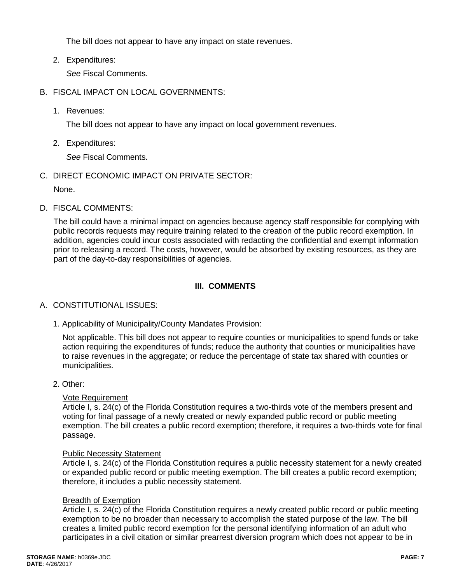The bill does not appear to have any impact on state revenues.

2. Expenditures:

*See* Fiscal Comments.

- B. FISCAL IMPACT ON LOCAL GOVERNMENTS:
	- 1. Revenues:

The bill does not appear to have any impact on local government revenues.

2. Expenditures:

*See* Fiscal Comments.

C. DIRECT ECONOMIC IMPACT ON PRIVATE SECTOR:

None.

D. FISCAL COMMENTS:

The bill could have a minimal impact on agencies because agency staff responsible for complying with public records requests may require training related to the creation of the public record exemption. In addition, agencies could incur costs associated with redacting the confidential and exempt information prior to releasing a record. The costs, however, would be absorbed by existing resources, as they are part of the day-to-day responsibilities of agencies.

# **III. COMMENTS**

# A. CONSTITUTIONAL ISSUES:

1. Applicability of Municipality/County Mandates Provision:

Not applicable. This bill does not appear to require counties or municipalities to spend funds or take action requiring the expenditures of funds; reduce the authority that counties or municipalities have to raise revenues in the aggregate; or reduce the percentage of state tax shared with counties or municipalities.

### 2. Other:

### Vote Requirement

Article I, s. 24(c) of the Florida Constitution requires a two-thirds vote of the members present and voting for final passage of a newly created or newly expanded public record or public meeting exemption. The bill creates a public record exemption; therefore, it requires a two-thirds vote for final passage.

### Public Necessity Statement

Article I, s. 24(c) of the Florida Constitution requires a public necessity statement for a newly created or expanded public record or public meeting exemption. The bill creates a public record exemption; therefore, it includes a public necessity statement.

### Breadth of Exemption

Article I, s. 24(c) of the Florida Constitution requires a newly created public record or public meeting exemption to be no broader than necessary to accomplish the stated purpose of the law. The bill creates a limited public record exemption for the personal identifying information of an adult who participates in a civil citation or similar prearrest diversion program which does not appear to be in